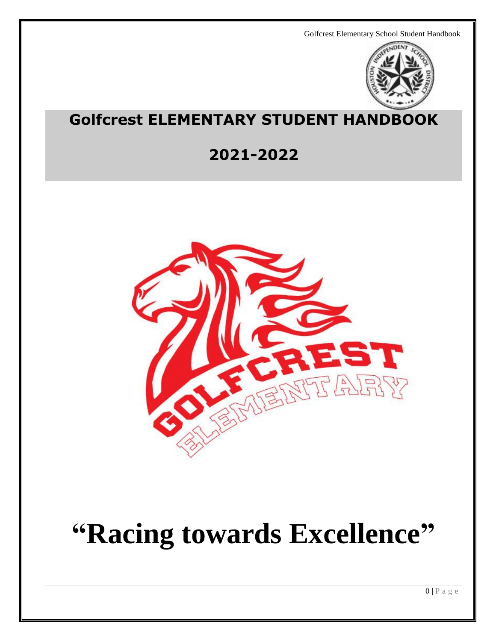

# **Golfcrest ELEMENTARY STUDENT HANDBOOK**

# **2021-2022**



# **"Racing towards Excellence"**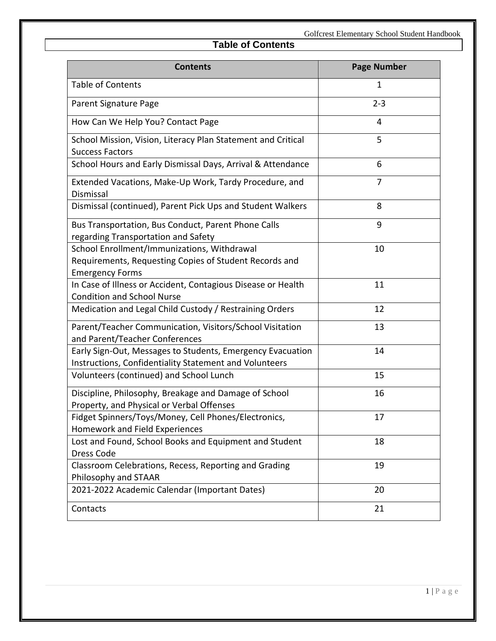# **Table of Contents**

| <b>Contents</b>                                                                                                                 | <b>Page Number</b> |
|---------------------------------------------------------------------------------------------------------------------------------|--------------------|
| <b>Table of Contents</b>                                                                                                        | 1                  |
| Parent Signature Page                                                                                                           | $2 - 3$            |
| How Can We Help You? Contact Page                                                                                               | 4                  |
| School Mission, Vision, Literacy Plan Statement and Critical<br><b>Success Factors</b>                                          | 5                  |
| School Hours and Early Dismissal Days, Arrival & Attendance                                                                     | 6                  |
| Extended Vacations, Make-Up Work, Tardy Procedure, and<br>Dismissal                                                             | 7                  |
| Dismissal (continued), Parent Pick Ups and Student Walkers                                                                      | 8                  |
| Bus Transportation, Bus Conduct, Parent Phone Calls<br>regarding Transportation and Safety                                      | 9                  |
| School Enrollment/Immunizations, Withdrawal<br>Requirements, Requesting Copies of Student Records and<br><b>Emergency Forms</b> | 10                 |
| In Case of Illness or Accident, Contagious Disease or Health<br><b>Condition and School Nurse</b>                               | 11                 |
| Medication and Legal Child Custody / Restraining Orders                                                                         | 12                 |
| Parent/Teacher Communication, Visitors/School Visitation<br>and Parent/Teacher Conferences                                      | 13                 |
| Early Sign-Out, Messages to Students, Emergency Evacuation<br>Instructions, Confidentiality Statement and Volunteers            | 14                 |
| Volunteers (continued) and School Lunch                                                                                         | 15                 |
| Discipline, Philosophy, Breakage and Damage of School<br>Property, and Physical or Verbal Offenses                              | 16                 |
| Fidget Spinners/Toys/Money, Cell Phones/Electronics,<br>Homework and Field Experiences                                          | 17                 |
| Lost and Found, School Books and Equipment and Student<br>Dress Code                                                            | 18                 |
| Classroom Celebrations, Recess, Reporting and Grading<br>Philosophy and STAAR                                                   | 19                 |
| 2021-2022 Academic Calendar (Important Dates)                                                                                   | 20                 |
| Contacts                                                                                                                        | 21                 |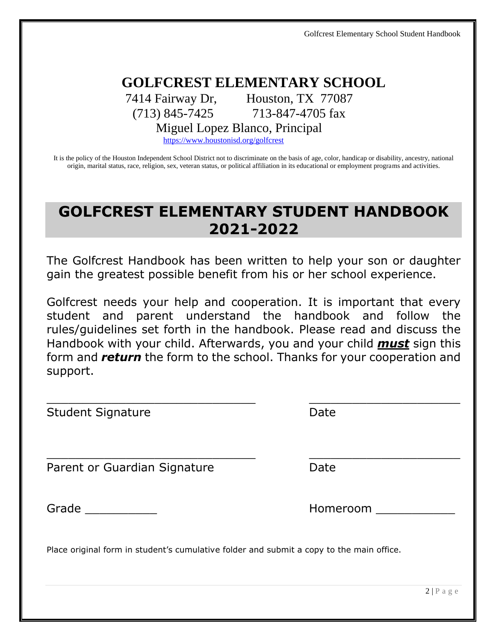# **GOLFCREST ELEMENTARY SCHOOL**

7414 Fairway Dr, Houston, TX 77087

(713) 845-7425 713-847-4705 fax

Miguel Lopez Blanco, Principal

<https://www.houstonisd.org/golfcrest>

It is the policy of the Houston Independent School District not to discriminate on the basis of age, color, handicap or disability, ancestry, national origin, marital status, race, religion, sex, veteran status, or political affiliation in its educational or employment programs and activities.

# **GOLFCREST ELEMENTARY STUDENT HANDBOOK 2021-2022**

The Golfcrest Handbook has been written to help your son or daughter gain the greatest possible benefit from his or her school experience.

Golfcrest needs your help and cooperation. It is important that every student and parent understand the handbook and follow the rules/guidelines set forth in the handbook. Please read and discuss the Handbook with your child. Afterwards, you and your child *must* sign this form and *return* the form to the school. Thanks for your cooperation and support.

| <b>Student Signature</b>                                                                 | Date     |
|------------------------------------------------------------------------------------------|----------|
| Parent or Guardian Signature                                                             | Date     |
| Grade                                                                                    | Homeroom |
| Place original form in student's cumulative folder and submit a copy to the main office. |          |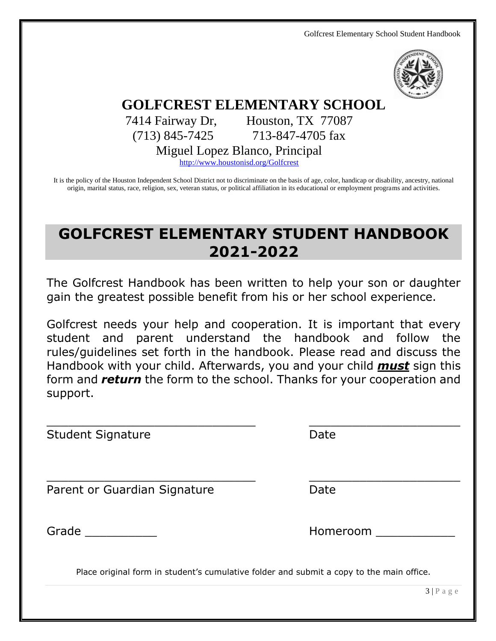

# **GOLFCREST ELEMENTARY SCHOOL**

7414 Fairway Dr, Houston, TX 77087

(713) 845-7425 713-847-4705 fax

Miguel Lopez Blanco, Principal

<http://www.houstonisd.org/Golfcrest>

It is the policy of the Houston Independent School District not to discriminate on the basis of age, color, handicap or disability, ancestry, national origin, marital status, race, religion, sex, veteran status, or political affiliation in its educational or employment programs and activities.

# **GOLFCREST ELEMENTARY STUDENT HANDBOOK 2021-2022**

The Golfcrest Handbook has been written to help your son or daughter gain the greatest possible benefit from his or her school experience.

Golfcrest needs your help and cooperation. It is important that every student and parent understand the handbook and follow the rules/guidelines set forth in the handbook. Please read and discuss the Handbook with your child. Afterwards, you and your child *must* sign this form and *return* the form to the school. Thanks for your cooperation and support.

\_\_\_\_\_\_\_\_\_\_\_\_\_\_\_\_\_\_\_\_\_\_\_\_\_\_\_\_\_ \_\_\_\_\_\_\_\_\_\_\_\_\_\_\_\_\_\_\_\_\_

\_\_\_\_\_\_\_\_\_\_\_\_\_\_\_\_\_\_\_\_\_\_\_\_\_\_\_\_\_ \_\_\_\_\_\_\_\_\_\_\_\_\_\_\_\_\_\_\_\_\_

Student Signature Date

Parent or Guardian Signature **Date** 

Grade \_\_\_\_\_\_\_\_\_\_ Homeroom \_\_\_\_\_\_\_\_\_\_\_

Place original form in student's cumulative folder and submit a copy to the main office.

 $3 | P a g e$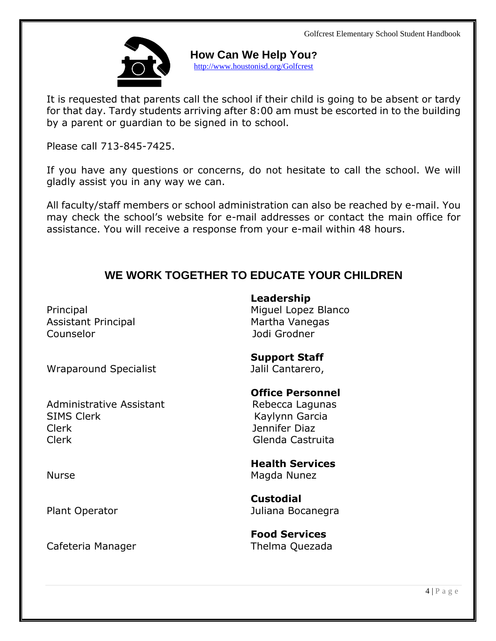

**How Can We Help You?** <http://www.houstonisd.org/Golfcrest>

It is requested that parents call the school if their child is going to be absent or tardy for that day. Tardy students arriving after 8:00 am must be escorted in to the building by a parent or guardian to be signed in to school.

Please call 713-845-7425.

If you have any questions or concerns, do not hesitate to call the school. We will gladly assist you in any way we can.

All faculty/staff members or school administration can also be reached by e-mail. You may check the school's website for e-mail addresses or contact the main office for assistance. You will receive a response from your e-mail within 48 hours.

# **WE WORK TOGETHER TO EDUCATE YOUR CHILDREN**

Assistant Principal Martha Vanegas Counselor Jodi Grodner

Wraparound Specialist **Jalil Cantarero**,

Principal Miguel Lopez Blanco

**Support Staff**

**Leadership**

# **Office Personnel**

Administrative Assistant **Rebecca Lagunas** SIMS Clerk **Kaylynn** Garcia Clerk Jennifer Diaz Clerk Glenda Castruita

**Health Services** Nurse Magda Nunez

**Custodial** Plant Operator **Disk Contract Contract Contract Contract Contract Contract Contract Contract Contract Contract Contract Contract Contract Contract Contract Contract Contract Contract Contract Contract Contract Contract Con** 

**Food Services**

Cafeteria Manager **Thelma Quezada**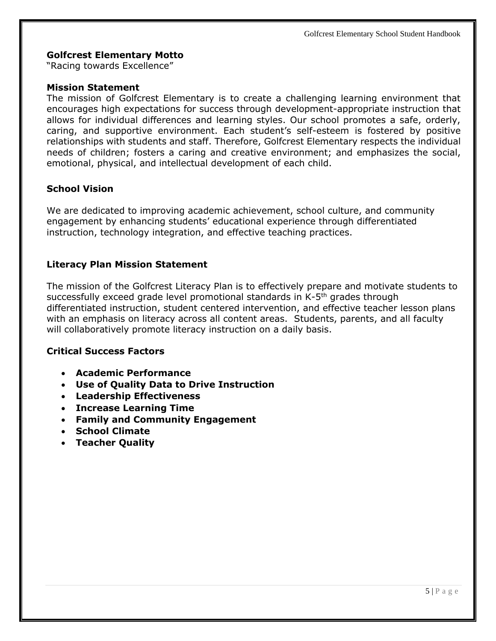#### **Golfcrest Elementary Motto**

"Racing towards Excellence"

#### **Mission Statement**

The mission of Golfcrest Elementary is to create a challenging learning environment that encourages high expectations for success through development-appropriate instruction that allows for individual differences and learning styles. Our school promotes a safe, orderly, caring, and supportive environment. Each student's self-esteem is fostered by positive relationships with students and staff. Therefore, Golfcrest Elementary respects the individual needs of children; fosters a caring and creative environment; and emphasizes the social, emotional, physical, and intellectual development of each child.

# **School Vision**

We are dedicated to improving academic achievement, school culture, and community engagement by enhancing students' educational experience through differentiated instruction, technology integration, and effective teaching practices.

#### **Literacy Plan Mission Statement**

The mission of the Golfcrest Literacy Plan is to effectively prepare and motivate students to successfully exceed grade level promotional standards in K-5<sup>th</sup> grades through differentiated instruction, student centered intervention, and effective teacher lesson plans with an emphasis on literacy across all content areas. Students, parents, and all faculty will collaboratively promote literacy instruction on a daily basis.

# **Critical Success Factors**

- **Academic Performance**
- **Use of Quality Data to Drive Instruction**
- **Leadership Effectiveness**
- **Increase Learning Time**
- **Family and Community Engagement**
- **School Climate**
- **Teacher Quality**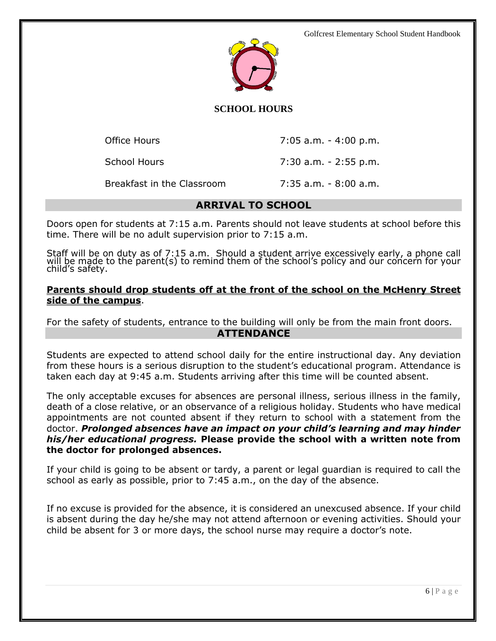

# **SCHOOL HOURS**

Office Hours 7:05 a.m. - 4:00 p.m.

School Hours 7:30 a.m. - 2:55 p.m.

Breakfast in the Classroom 7:35 a.m. - 8:00 a.m.

# **ARRIVAL TO SCHOOL**

Doors open for students at 7:15 a.m. Parents should not leave students at school before this time. There will be no adult supervision prior to 7:15 a.m.

Staff will be on duty as of 7:15 a.m. Should a student arrive excessively early, a phone call will be made to the parent(s) to remind them of the school's policy and our concern for your child's safety.

# **Parents should drop students off at the front of the school on the McHenry Street side of the campus**.

For the safety of students, entrance to the building will only be from the main front doors. **ATTENDANCE**

Students are expected to attend school daily for the entire instructional day. Any deviation from these hours is a serious disruption to the student's educational program. Attendance is taken each day at 9:45 a.m. Students arriving after this time will be counted absent.

The only acceptable excuses for absences are personal illness, serious illness in the family, death of a close relative, or an observance of a religious holiday. Students who have medical appointments are not counted absent if they return to school with a statement from the doctor. *Prolonged absences have an impact on your child's learning and may hinder his/her educational progress.* **Please provide the school with a written note from the doctor for prolonged absences.**

If your child is going to be absent or tardy, a parent or legal guardian is required to call the school as early as possible, prior to 7:45 a.m., on the day of the absence.

If no excuse is provided for the absence, it is considered an unexcused absence. If your child is absent during the day he/she may not attend afternoon or evening activities. Should your child be absent for 3 or more days, the school nurse may require a doctor's note.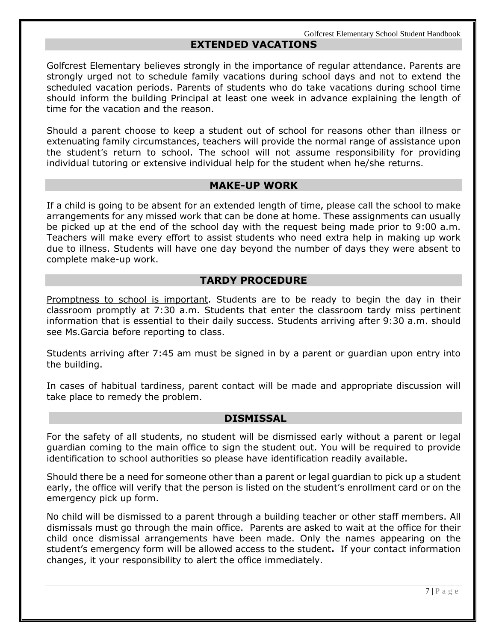# **EXTENDED VACATIONS**

Golfcrest Elementary believes strongly in the importance of regular attendance. Parents are strongly urged not to schedule family vacations during school days and not to extend the scheduled vacation periods. Parents of students who do take vacations during school time should inform the building Principal at least one week in advance explaining the length of time for the vacation and the reason.

Should a parent choose to keep a student out of school for reasons other than illness or extenuating family circumstances, teachers will provide the normal range of assistance upon the student's return to school. The school will not assume responsibility for providing individual tutoring or extensive individual help for the student when he/she returns.

#### **MAKE-UP WORK**

If a child is going to be absent for an extended length of time, please call the school to make arrangements for any missed work that can be done at home. These assignments can usually be picked up at the end of the school day with the request being made prior to 9:00 a.m. Teachers will make every effort to assist students who need extra help in making up work due to illness. Students will have one day beyond the number of days they were absent to complete make-up work.

# **TARDY PROCEDURE**

Promptness to school is important. Students are to be ready to begin the day in their classroom promptly at 7:30 a.m. Students that enter the classroom tardy miss pertinent information that is essential to their daily success. Students arriving after 9:30 a.m. should see Ms.Garcia before reporting to class.

Students arriving after 7:45 am must be signed in by a parent or guardian upon entry into the building.

In cases of habitual tardiness, parent contact will be made and appropriate discussion will take place to remedy the problem.

#### **DISMISSAL**

For the safety of all students, no student will be dismissed early without a parent or legal guardian coming to the main office to sign the student out. You will be required to provide identification to school authorities so please have identification readily available.

Should there be a need for someone other than a parent or legal guardian to pick up a student early, the office will verify that the person is listed on the student's enrollment card or on the emergency pick up form.

No child will be dismissed to a parent through a building teacher or other staff members. All dismissals must go through the main office. Parents are asked to wait at the office for their child once dismissal arrangements have been made. Only the names appearing on the student's emergency form will be allowed access to the student**.** If your contact information changes, it your responsibility to alert the office immediately.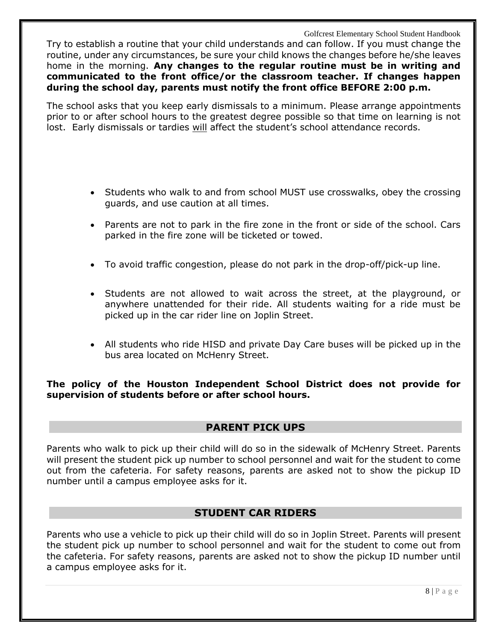Try to establish a routine that your child understands and can follow. If you must change the routine, under any circumstances, be sure your child knows the changes before he/she leaves home in the morning. **Any changes to the regular routine must be in writing and communicated to the front office/or the classroom teacher. If changes happen during the school day, parents must notify the front office BEFORE 2:00 p.m.**

The school asks that you keep early dismissals to a minimum. Please arrange appointments prior to or after school hours to the greatest degree possible so that time on learning is not lost. Early dismissals or tardies will affect the student's school attendance records.

- Students who walk to and from school MUST use crosswalks, obey the crossing guards, and use caution at all times.
- Parents are not to park in the fire zone in the front or side of the school. Cars parked in the fire zone will be ticketed or towed.
- To avoid traffic congestion, please do not park in the drop-off/pick-up line.
- Students are not allowed to wait across the street, at the playground, or anywhere unattended for their ride. All students waiting for a ride must be picked up in the car rider line on Joplin Street.
- All students who ride HISD and private Day Care buses will be picked up in the bus area located on McHenry Street.

**The policy of the Houston Independent School District does not provide for supervision of students before or after school hours.**

# **PARENT PICK UPS**

Parents who walk to pick up their child will do so in the sidewalk of McHenry Street. Parents will present the student pick up number to school personnel and wait for the student to come out from the cafeteria. For safety reasons, parents are asked not to show the pickup ID number until a campus employee asks for it.

# **STUDENT CAR RIDERS**

Parents who use a vehicle to pick up their child will do so in Joplin Street. Parents will present the student pick up number to school personnel and wait for the student to come out from the cafeteria. For safety reasons, parents are asked not to show the pickup ID number until a campus employee asks for it.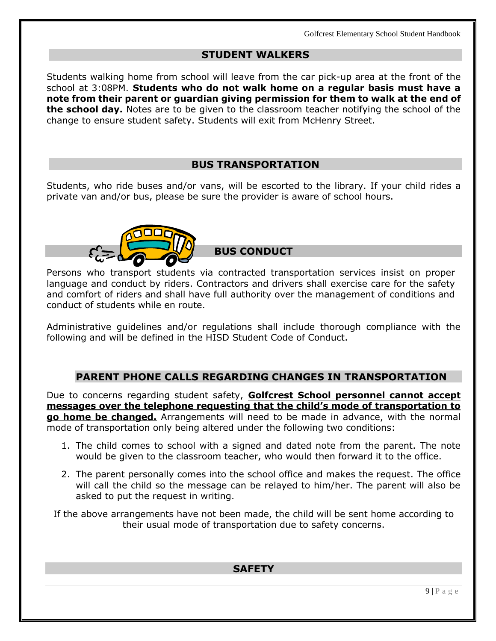# **STUDENT WALKERS**

Students walking home from school will leave from the car pick-up area at the front of the school at 3:08PM. **Students who do not walk home on a regular basis must have a note from their parent or guardian giving permission for them to walk at the end of the school day.** Notes are to be given to the classroom teacher notifying the school of the change to ensure student safety. Students will exit from McHenry Street.

# **BUS TRANSPORTATION**

Students, who ride buses and/or vans, will be escorted to the library. If your child rides a private van and/or bus, please be sure the provider is aware of school hours.



**BUS CONDUCT**

Persons who transport students via contracted transportation services insist on proper language and conduct by riders. Contractors and drivers shall exercise care for the safety and comfort of riders and shall have full authority over the management of conditions and conduct of students while en route.

Administrative guidelines and/or regulations shall include thorough compliance with the following and will be defined in the HISD Student Code of Conduct.

# **PARENT PHONE CALLS REGARDING CHANGES IN TRANSPORTATION**

Due to concerns regarding student safety, **Golfcrest School personnel cannot accept messages over the telephone requesting that the child's mode of transportation to go home be changed.** Arrangements will need to be made in advance, with the normal mode of transportation only being altered under the following two conditions:

- 1. The child comes to school with a signed and dated note from the parent. The note would be given to the classroom teacher, who would then forward it to the office.
- 2. The parent personally comes into the school office and makes the request. The office will call the child so the message can be relayed to him/her. The parent will also be asked to put the request in writing.

If the above arrangements have not been made, the child will be sent home according to their usual mode of transportation due to safety concerns.

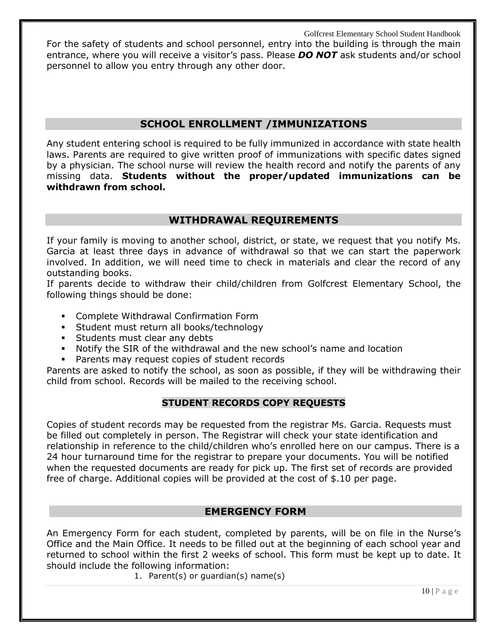For the safety of students and school personnel, entry into the building is through the main entrance, where you will receive a visitor's pass. Please *DO NOT* ask students and/or school personnel to allow you entry through any other door.

# **SCHOOL ENROLLMENT /IMMUNIZATIONS**

Any student entering school is required to be fully immunized in accordance with state health laws. Parents are required to give written proof of immunizations with specific dates signed by a physician. The school nurse will review the health record and notify the parents of any missing data. **Students without the proper/updated immunizations can be withdrawn from school.**

# **WITHDRAWAL REQUIREMENTS**

If your family is moving to another school, district, or state, we request that you notify Ms. Garcia at least three days in advance of withdrawal so that we can start the paperwork involved. In addition, we will need time to check in materials and clear the record of any outstanding books.

If parents decide to withdraw their child/children from Golfcrest Elementary School, the following things should be done:

- Complete Withdrawal Confirmation Form
- Student must return all books/technology
- **EXEC** Students must clear any debts
- Notify the SIR of the withdrawal and the new school's name and location
- Parents may request copies of student records

Parents are asked to notify the school, as soon as possible, if they will be withdrawing their child from school. Records will be mailed to the receiving school.

# **STUDENT RECORDS COPY REQUESTS**

Copies of student records may be requested from the registrar Ms. Garcia. Requests must be filled out completely in person. The Registrar will check your state identification and relationship in reference to the child/children who's enrolled here on our campus. There is a 24 hour turnaround time for the registrar to prepare your documents. You will be notified when the requested documents are ready for pick up. The first set of records are provided free of charge. Additional copies will be provided at the cost of \$.10 per page.

# **EMERGENCY FORM**

An Emergency Form for each student, completed by parents, will be on file in the Nurse's Office and the Main Office. It needs to be filled out at the beginning of each school year and returned to school within the first 2 weeks of school. This form must be kept up to date. It should include the following information:

1. Parent(s) or guardian(s) name(s)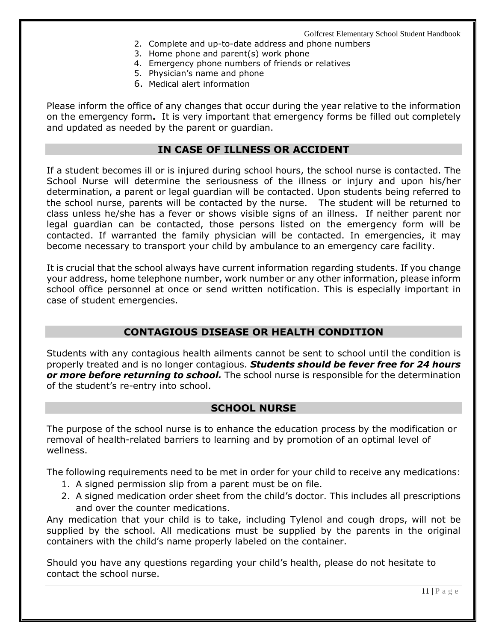- 2. Complete and up-to-date address and phone numbers
- 3. Home phone and parent(s) work phone
- 4. Emergency phone numbers of friends or relatives
- 5. Physician's name and phone
- 6. Medical alert information

Please inform the office of any changes that occur during the year relative to the information on the emergency form**.** It is very important that emergency forms be filled out completely and updated as needed by the parent or guardian.

# **IN CASE OF ILLNESS OR ACCIDENT**

If a student becomes ill or is injured during school hours, the school nurse is contacted. The School Nurse will determine the seriousness of the illness or injury and upon his/her determination, a parent or legal guardian will be contacted. Upon students being referred to the school nurse, parents will be contacted by the nurse. The student will be returned to class unless he/she has a fever or shows visible signs of an illness. If neither parent nor legal guardian can be contacted, those persons listed on the emergency form will be contacted. If warranted the family physician will be contacted. In emergencies, it may become necessary to transport your child by ambulance to an emergency care facility.

It is crucial that the school always have current information regarding students. If you change your address, home telephone number, work number or any other information, please inform school office personnel at once or send written notification. This is especially important in case of student emergencies.

# **CONTAGIOUS DISEASE OR HEALTH CONDITION**

Students with any contagious health ailments cannot be sent to school until the condition is properly treated and is no longer contagious. *Students should be fever free for 24 hours or more before returning to school.* The school nurse is responsible for the determination of the student's re-entry into school.

# **SCHOOL NURSE**

The purpose of the school nurse is to enhance the education process by the modification or removal of health-related barriers to learning and by promotion of an optimal level of wellness.

The following requirements need to be met in order for your child to receive any medications:

- 1. A signed permission slip from a parent must be on file.
- 2. A signed medication order sheet from the child's doctor. This includes all prescriptions and over the counter medications.

Any medication that your child is to take, including Tylenol and cough drops, will not be supplied by the school. All medications must be supplied by the parents in the original containers with the child's name properly labeled on the container.

Should you have any questions regarding your child's health, please do not hesitate to contact the school nurse.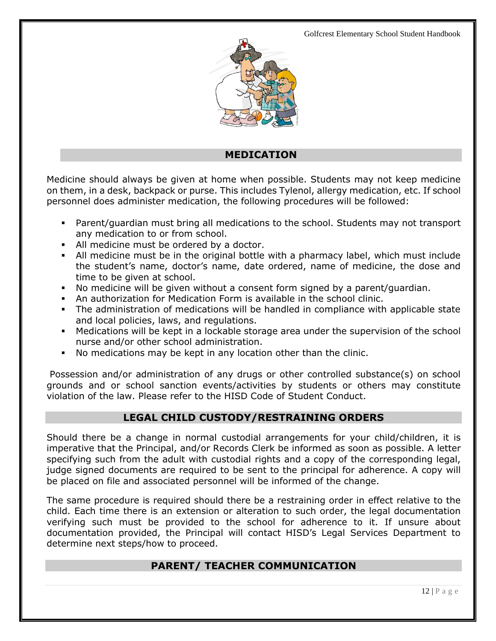

# **MEDICATION**

Medicine should always be given at home when possible. Students may not keep medicine on them, in a desk, backpack or purse. This includes Tylenol, allergy medication, etc. If school personnel does administer medication, the following procedures will be followed:

- Parent/guardian must bring all medications to the school. Students may not transport any medication to or from school.
- All medicine must be ordered by a doctor.
- All medicine must be in the original bottle with a pharmacy label, which must include the student's name, doctor's name, date ordered, name of medicine, the dose and time to be given at school.
- No medicine will be given without a consent form signed by a parent/guardian.
- An authorization for Medication Form is available in the school clinic.
- The administration of medications will be handled in compliance with applicable state and local policies, laws, and regulations.
- Medications will be kept in a lockable storage area under the supervision of the school nurse and/or other school administration.
- No medications may be kept in any location other than the clinic.

Possession and/or administration of any drugs or other controlled substance(s) on school grounds and or school sanction events/activities by students or others may constitute violation of the law. Please refer to the HISD Code of Student Conduct.

# **LEGAL CHILD CUSTODY/RESTRAINING ORDERS**

Should there be a change in normal custodial arrangements for your child/children, it is imperative that the Principal, and/or Records Clerk be informed as soon as possible. A letter specifying such from the adult with custodial rights and a copy of the corresponding legal, judge signed documents are required to be sent to the principal for adherence. A copy will be placed on file and associated personnel will be informed of the change.

The same procedure is required should there be a restraining order in effect relative to the child. Each time there is an extension or alteration to such order, the legal documentation verifying such must be provided to the school for adherence to it. If unsure about documentation provided, the Principal will contact HISD's Legal Services Department to determine next steps/how to proceed.

# **PARENT/ TEACHER COMMUNICATION**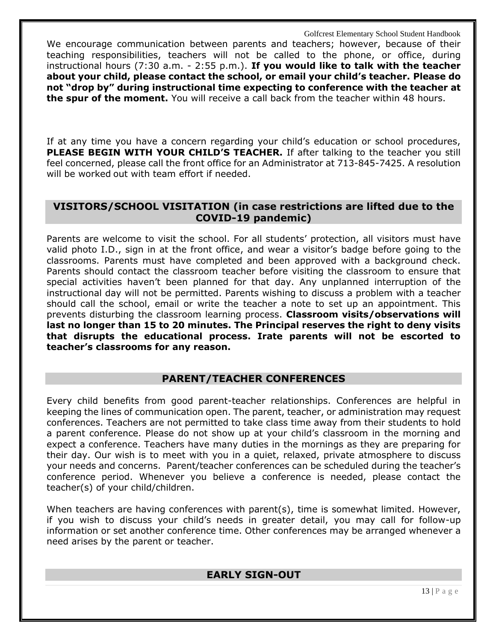We encourage communication between parents and teachers; however, because of their teaching responsibilities, teachers will not be called to the phone, or office, during instructional hours (7:30 a.m. - 2:55 p.m.). **If you would like to talk with the teacher about your child, please contact the school, or email your child's teacher. Please do not "drop by" during instructional time expecting to conference with the teacher at the spur of the moment.** You will receive a call back from the teacher within 48 hours.

If at any time you have a concern regarding your child's education or school procedures, **PLEASE BEGIN WITH YOUR CHILD'S TEACHER.** If after talking to the teacher you still feel concerned, please call the front office for an Administrator at 713-845-7425. A resolution will be worked out with team effort if needed.

# **VISITORS/SCHOOL VISITATION (in case restrictions are lifted due to the COVID-19 pandemic)**

Parents are welcome to visit the school. For all students' protection, all visitors must have valid photo I.D., sign in at the front office, and wear a visitor's badge before going to the classrooms. Parents must have completed and been approved with a background check. Parents should contact the classroom teacher before visiting the classroom to ensure that special activities haven't been planned for that day. Any unplanned interruption of the instructional day will not be permitted. Parents wishing to discuss a problem with a teacher should call the school, email or write the teacher a note to set up an appointment. This prevents disturbing the classroom learning process. **Classroom visits/observations will last no longer than 15 to 20 minutes. The Principal reserves the right to deny visits that disrupts the educational process. Irate parents will not be escorted to teacher's classrooms for any reason.**

# **PARENT/TEACHER CONFERENCES**

Every child benefits from good parent-teacher relationships. Conferences are helpful in keeping the lines of communication open. The parent, teacher, or administration may request conferences. Teachers are not permitted to take class time away from their students to hold a parent conference. Please do not show up at your child's classroom in the morning and expect a conference. Teachers have many duties in the mornings as they are preparing for their day. Our wish is to meet with you in a quiet, relaxed, private atmosphere to discuss your needs and concerns. Parent/teacher conferences can be scheduled during the teacher's conference period. Whenever you believe a conference is needed, please contact the teacher(s) of your child/children.

When teachers are having conferences with parent(s), time is somewhat limited. However, if you wish to discuss your child's needs in greater detail, you may call for follow-up information or set another conference time. Other conferences may be arranged whenever a need arises by the parent or teacher.

# **EARLY SIGN-OUT**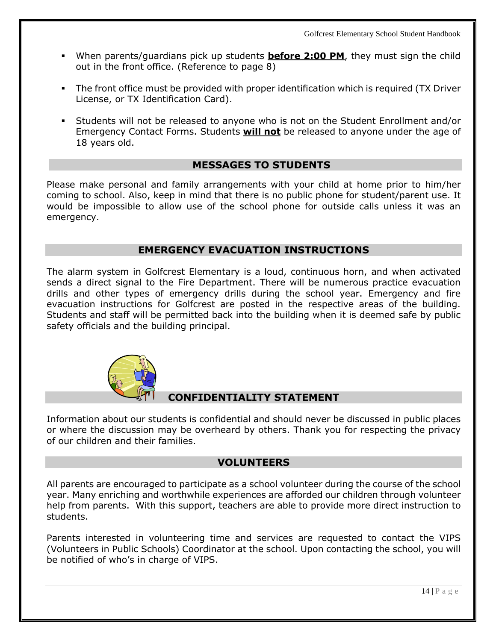- When parents/guardians pick up students **before 2:00 PM**, they must sign the child out in the front office. (Reference to page 8)
- **•** The front office must be provided with proper identification which is required (TX Driver License, or TX Identification Card).
- Students will not be released to anyone who is not on the Student Enrollment and/or Emergency Contact Forms. Students **will not** be released to anyone under the age of 18 years old.

# **MESSAGES TO STUDENTS**

Please make personal and family arrangements with your child at home prior to him/her coming to school. Also, keep in mind that there is no public phone for student/parent use. It would be impossible to allow use of the school phone for outside calls unless it was an emergency.

# **EMERGENCY EVACUATION INSTRUCTIONS**

The alarm system in Golfcrest Elementary is a loud, continuous horn, and when activated sends a direct signal to the Fire Department. There will be numerous practice evacuation drills and other types of emergency drills during the school year. Emergency and fire evacuation instructions for Golfcrest are posted in the respective areas of the building. Students and staff will be permitted back into the building when it is deemed safe by public safety officials and the building principal.



# **CONFIDENTIALITY STATEMENT**

Information about our students is confidential and should never be discussed in public places or where the discussion may be overheard by others. Thank you for respecting the privacy of our children and their families.

# **VOLUNTEERS**

All parents are encouraged to participate as a school volunteer during the course of the school year. Many enriching and worthwhile experiences are afforded our children through volunteer help from parents. With this support, teachers are able to provide more direct instruction to students.

Parents interested in volunteering time and services are requested to contact the VIPS (Volunteers in Public Schools) Coordinator at the school. Upon contacting the school, you will be notified of who's in charge of VIPS.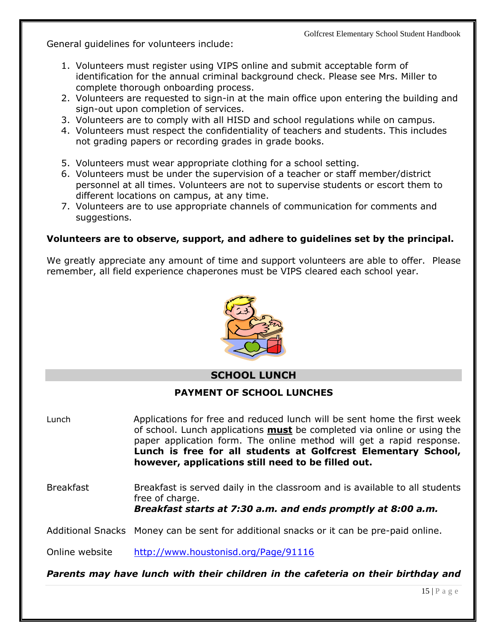General guidelines for volunteers include:

- 1. Volunteers must register using VIPS online and submit acceptable form of identification for the annual criminal background check. Please see Mrs. Miller to complete thorough onboarding process.
- 2. Volunteers are requested to sign-in at the main office upon entering the building and sign-out upon completion of services.
- 3. Volunteers are to comply with all HISD and school regulations while on campus.
- 4. Volunteers must respect the confidentiality of teachers and students. This includes not grading papers or recording grades in grade books.
- 5. Volunteers must wear appropriate clothing for a school setting.
- 6. Volunteers must be under the supervision of a teacher or staff member/district personnel at all times. Volunteers are not to supervise students or escort them to different locations on campus, at any time.
- 7. Volunteers are to use appropriate channels of communication for comments and suggestions.

# **Volunteers are to observe, support, and adhere to guidelines set by the principal.**

We greatly appreciate any amount of time and support volunteers are able to offer. Please remember, all field experience chaperones must be VIPS cleared each school year.



# **SCHOOL LUNCH**

# **PAYMENT OF SCHOOL LUNCHES**

Lunch Applications for free and reduced lunch will be sent home the first week of school. Lunch applications **must** be completed via online or using the paper application form. The online method will get a rapid response. **Lunch is free for all students at Golfcrest Elementary School, however, applications still need to be filled out.**

Breakfast Breakfast is served daily in the classroom and is available to all students free of charge. *Breakfast starts at 7:30 a.m. and ends promptly at 8:00 a.m.*

Additional Snacks Money can be sent for additional snacks or it can be pre-paid online.

Online website <http://www.houstonisd.org/Page/91116>

*Parents may have lunch with their children in the cafeteria on their birthday and* 

15 | P a g e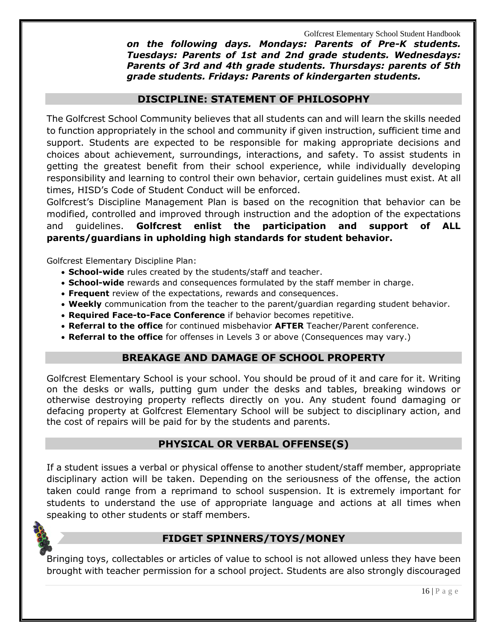*on the following days. Mondays: Parents of Pre-K students. Tuesdays: Parents of 1st and 2nd grade students. Wednesdays: Parents of 3rd and 4th grade students. Thursdays: parents of 5th grade students. Fridays: Parents of kindergarten students.*

#### **DISCIPLINE: STATEMENT OF PHILOSOPHY**

The Golfcrest School Community believes that all students can and will learn the skills needed to function appropriately in the school and community if given instruction, sufficient time and support. Students are expected to be responsible for making appropriate decisions and choices about achievement, surroundings, interactions, and safety. To assist students in getting the greatest benefit from their school experience, while individually developing responsibility and learning to control their own behavior, certain guidelines must exist. At all times, HISD's Code of Student Conduct will be enforced.

Golfcrest's Discipline Management Plan is based on the recognition that behavior can be modified, controlled and improved through instruction and the adoption of the expectations and guidelines. **Golfcrest enlist the participation and support of ALL parents/guardians in upholding high standards for student behavior.**

Golfcrest Elementary Discipline Plan:

- **School-wide** rules created by the students/staff and teacher.
- **School-wide** rewards and consequences formulated by the staff member in charge.
- **Frequent** review of the expectations, rewards and consequences.
- **Weekly** communication from the teacher to the parent/guardian regarding student behavior.
- **Required Face-to-Face Conference** if behavior becomes repetitive.
- **Referral to the office** for continued misbehavior **AFTER** Teacher/Parent conference.
- **Referral to the office** for offenses in Levels 3 or above (Consequences may vary.)

# **BREAKAGE AND DAMAGE OF SCHOOL PROPERTY**

Golfcrest Elementary School is your school. You should be proud of it and care for it. Writing on the desks or walls, putting gum under the desks and tables, breaking windows or otherwise destroying property reflects directly on you. Any student found damaging or defacing property at Golfcrest Elementary School will be subject to disciplinary action, and the cost of repairs will be paid for by the students and parents.

# **PHYSICAL OR VERBAL OFFENSE(S)**

If a student issues a verbal or physical offense to another student/staff member, appropriate disciplinary action will be taken. Depending on the seriousness of the offense, the action taken could range from a reprimand to school suspension. It is extremely important for students to understand the use of appropriate language and actions at all times when speaking to other students or staff members.

# **FIDGET SPINNERS/TOYS/MONEY**

Bringing toys, collectables or articles of value to school is not allowed unless they have been brought with teacher permission for a school project. Students are also strongly discouraged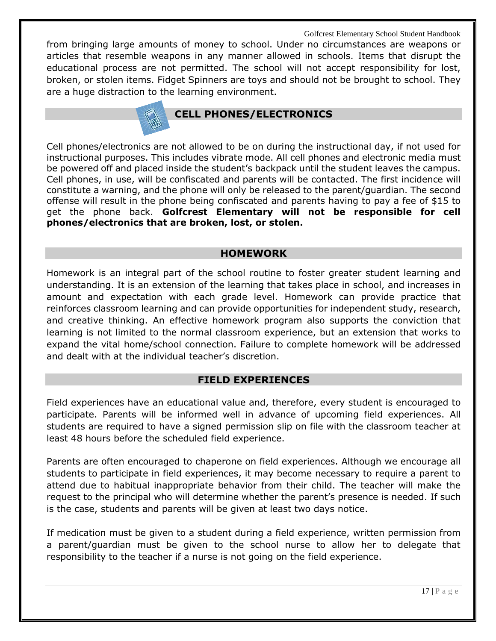from bringing large amounts of money to school. Under no circumstances are weapons or articles that resemble weapons in any manner allowed in schools. Items that disrupt the educational process are not permitted. The school will not accept responsibility for lost, broken, or stolen items. Fidget Spinners are toys and should not be brought to school. They are a huge distraction to the learning environment.

# **CELL PHONES/ELECTRONICS**

Cell phones/electronics are not allowed to be on during the instructional day, if not used for instructional purposes. This includes vibrate mode. All cell phones and electronic media must be powered off and placed inside the student's backpack until the student leaves the campus. Cell phones, in use, will be confiscated and parents will be contacted. The first incidence will constitute a warning, and the phone will only be released to the parent/guardian. The second offense will result in the phone being confiscated and parents having to pay a fee of \$15 to get the phone back. **Golfcrest Elementary will not be responsible for cell phones/electronics that are broken, lost, or stolen.** 

# **HOMEWORK**

Homework is an integral part of the school routine to foster greater student learning and understanding. It is an extension of the learning that takes place in school, and increases in amount and expectation with each grade level. Homework can provide practice that reinforces classroom learning and can provide opportunities for independent study, research, and creative thinking. An effective homework program also supports the conviction that learning is not limited to the normal classroom experience, but an extension that works to expand the vital home/school connection. Failure to complete homework will be addressed and dealt with at the individual teacher's discretion.

# **FIELD EXPERIENCES**

Field experiences have an educational value and, therefore, every student is encouraged to participate. Parents will be informed well in advance of upcoming field experiences. All students are required to have a signed permission slip on file with the classroom teacher at least 48 hours before the scheduled field experience.

Parents are often encouraged to chaperone on field experiences. Although we encourage all students to participate in field experiences, it may become necessary to require a parent to attend due to habitual inappropriate behavior from their child. The teacher will make the request to the principal who will determine whether the parent's presence is needed. If such is the case, students and parents will be given at least two days notice.

If medication must be given to a student during a field experience, written permission from a parent/guardian must be given to the school nurse to allow her to delegate that responsibility to the teacher if a nurse is not going on the field experience.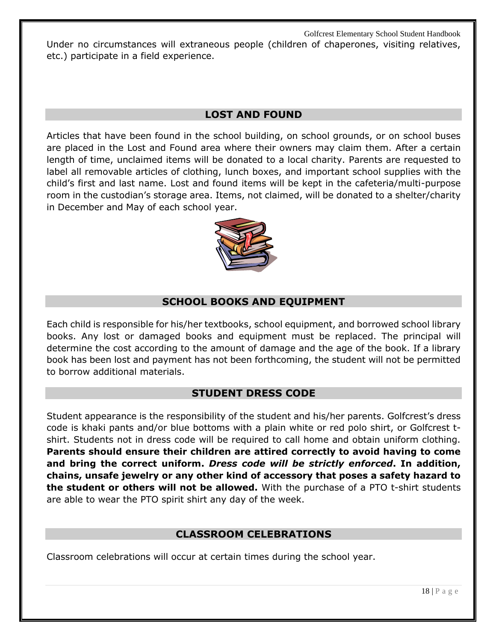Golfcrest Elementary School Student Handbook Under no circumstances will extraneous people (children of chaperones, visiting relatives, etc.) participate in a field experience.

# **LOST AND FOUND**

Articles that have been found in the school building, on school grounds, or on school buses are placed in the Lost and Found area where their owners may claim them. After a certain length of time, unclaimed items will be donated to a local charity. Parents are requested to label all removable articles of clothing, lunch boxes, and important school supplies with the child's first and last name. Lost and found items will be kept in the cafeteria/multi-purpose room in the custodian's storage area. Items, not claimed, will be donated to a shelter/charity in December and May of each school year.



# **SCHOOL BOOKS AND EQUIPMENT**

Each child is responsible for his/her textbooks, school equipment, and borrowed school library books. Any lost or damaged books and equipment must be replaced. The principal will determine the cost according to the amount of damage and the age of the book. If a library book has been lost and payment has not been forthcoming, the student will not be permitted to borrow additional materials.

# **STUDENT DRESS CODE**

Student appearance is the responsibility of the student and his/her parents. Golfcrest's dress code is khaki pants and/or blue bottoms with a plain white or red polo shirt, or Golfcrest tshirt. Students not in dress code will be required to call home and obtain uniform clothing. **Parents should ensure their children are attired correctly to avoid having to come and bring the correct uniform.** *Dress code will be strictly enforced***. In addition, chains, unsafe jewelry or any other kind of accessory that poses a safety hazard to the student or others will not be allowed.** With the purchase of a PTO t-shirt students are able to wear the PTO spirit shirt any day of the week.

# **CLASSROOM CELEBRATIONS**

Classroom celebrations will occur at certain times during the school year.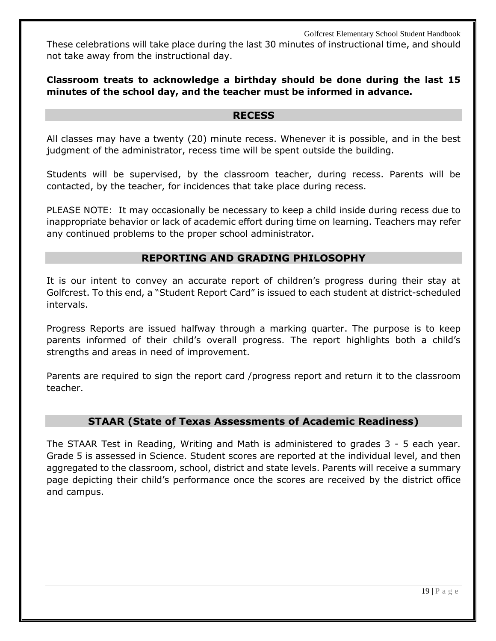These celebrations will take place during the last 30 minutes of instructional time, and should not take away from the instructional day.

# **Classroom treats to acknowledge a birthday should be done during the last 15 minutes of the school day, and the teacher must be informed in advance.**

# **RECESS**

All classes may have a twenty (20) minute recess. Whenever it is possible, and in the best judgment of the administrator, recess time will be spent outside the building.

Students will be supervised, by the classroom teacher, during recess. Parents will be contacted, by the teacher, for incidences that take place during recess.

PLEASE NOTE: It may occasionally be necessary to keep a child inside during recess due to inappropriate behavior or lack of academic effort during time on learning. Teachers may refer any continued problems to the proper school administrator.

# **REPORTING AND GRADING PHILOSOPHY**

It is our intent to convey an accurate report of children's progress during their stay at Golfcrest. To this end, a "Student Report Card" is issued to each student at district-scheduled intervals.

Progress Reports are issued halfway through a marking quarter. The purpose is to keep parents informed of their child's overall progress. The report highlights both a child's strengths and areas in need of improvement.

Parents are required to sign the report card /progress report and return it to the classroom teacher.

# **STAAR (State of Texas Assessments of Academic Readiness)**

The STAAR Test in Reading, Writing and Math is administered to grades 3 - 5 each year. Grade 5 is assessed in Science. Student scores are reported at the individual level, and then aggregated to the classroom, school, district and state levels. Parents will receive a summary page depicting their child's performance once the scores are received by the district office and campus.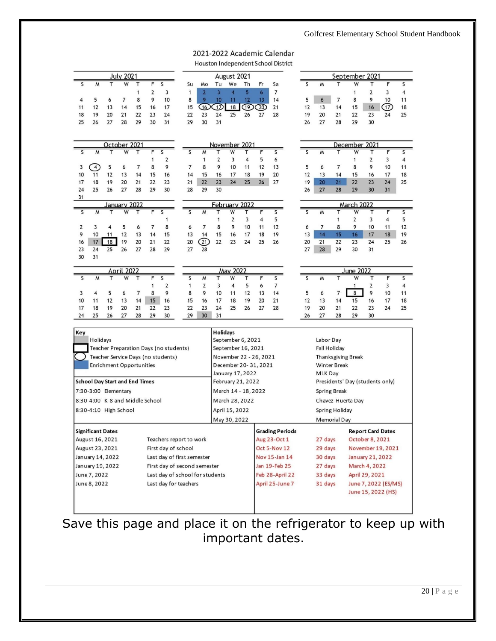# 2021-2022 Academic Calendar

Houston Independent School District

| <b>July 2021</b>                                                 |                                 |         |              |                      |                |          |  |                        |                   |                                       | August 2021            |                    |                     | September 2021          |                                       |                                 |                                 |                       |                     |                     |                    |                         |  |  |
|------------------------------------------------------------------|---------------------------------|---------|--------------|----------------------|----------------|----------|--|------------------------|-------------------|---------------------------------------|------------------------|--------------------|---------------------|-------------------------|---------------------------------------|---------------------------------|---------------------------------|-----------------------|---------------------|---------------------|--------------------|-------------------------|--|--|
| S                                                                | м                               |         | W            | т                    | F              | S        |  | Su                     | Mo                | Tu                                    | We                     | Тh                 | Fr                  | Sa                      |                                       | S                               | W                               | т                     | W                   | т                   | F                  | S                       |  |  |
|                                                                  |                                 |         |              | 1                    | $\overline{2}$ | 3        |  | 1                      | $\overline{2}$    | $\overline{\mathbf{3}}$               | $\overline{4}$         | 5 <sup>5</sup>     | 6                   | $\overline{7}$          |                                       |                                 |                                 |                       | 1                   | $\overline{2}$      | 3                  | $\overline{4}$          |  |  |
| 4                                                                | 5                               | 6       | 7            | 8                    | 9              | 10       |  | 8                      | 9                 | 10                                    | 11                     | 12                 | 13                  | 14                      |                                       | 5                               | 6                               | 7                     | 8                   | 9                   | 10                 | 11                      |  |  |
| 11                                                               | 12                              | 13      | 14           | 15                   | 16             | 17       |  | 15                     | (16)              | $\overline{12}$                       | 18                     | $\bigcirc$         | $\Omega$            | 21                      |                                       | 12                              | 13                              | 14                    | 15                  | 16                  | $\overline{17}$    | 18                      |  |  |
| 18                                                               | 19<br>26                        | 20      | 21<br>28     | 22<br>29             | 23<br>30       | 24<br>31 |  | 22<br>29               | 23<br>30          | 24                                    | 25                     | 26                 | 27                  | 28                      |                                       | 19<br>26                        | 20                              | 21                    | 22<br>29            | 23<br>30            | 24                 | 25                      |  |  |
| 25                                                               |                                 | 27      |              |                      |                |          |  |                        |                   | 31                                    |                        |                    |                     |                         |                                       |                                 | 27                              | 28                    |                     |                     |                    |                         |  |  |
|                                                                  |                                 |         |              |                      |                |          |  |                        |                   |                                       |                        |                    |                     |                         |                                       |                                 |                                 |                       |                     |                     |                    |                         |  |  |
|                                                                  |                                 |         | October 2021 |                      |                |          |  |                        |                   |                                       |                        | November 2021      |                     |                         |                                       | December 2021                   |                                 |                       |                     |                     |                    |                         |  |  |
| S                                                                | M                               | т       | W            | т                    | F              | S        |  | S                      | M                 |                                       | W                      |                    |                     | $\overline{\mathsf{S}}$ |                                       | S                               | $\overline{M}$                  | т                     | W                   | Т                   | F                  | $\overline{\mathsf{S}}$ |  |  |
|                                                                  |                                 |         |              | 7                    | 1<br>8         | 2<br>9   |  | 7                      | 1<br>8            | $\overline{2}$<br>9                   | 3<br>10                | 4                  | 5                   | 6                       |                                       |                                 |                                 |                       | 1<br>8              | $\overline{2}$<br>9 | 3<br>10            | 4                       |  |  |
| 3<br>10                                                          | $\overline{4}$<br>11            | 5<br>12 | 6<br>13      | 14                   | 15             | 16       |  | 14                     | 15                | 16                                    | 17                     | 11<br>18           | 12<br>19            | 13<br>20                |                                       | 5<br>12                         | 6<br>13                         | 7<br>14               | 15                  | 16                  | 17                 | 11<br>18                |  |  |
| 17                                                               | 18                              | 19      | 20           | 21                   | 22             | 23       |  | 21                     | 22                | 23                                    | 24                     | 25                 | 26                  | 27                      |                                       | 19                              | 20                              | 21                    | 22                  | 23                  | 24                 | 25                      |  |  |
| 24                                                               | 25                              | 26      | 27           | 28                   | 29             | 30       |  | 28                     | 29                | 30                                    |                        |                    |                     |                         |                                       | 26                              | 27                              | 28                    | 29                  | 30                  | 31                 |                         |  |  |
| 31                                                               |                                 |         |              |                      |                |          |  |                        |                   |                                       |                        |                    |                     |                         |                                       |                                 |                                 |                       |                     |                     |                    |                         |  |  |
| lanuary 2022<br>$\overline{\mathsf{s}}$<br>F<br>S<br>W<br>S<br>м |                                 |         |              |                      |                |          |  |                        |                   |                                       | W                      | February 2022<br>т | F<br>S<br>S         |                         |                                       |                                 | March 2022                      |                       |                     |                     |                    |                         |  |  |
|                                                                  |                                 |         |              |                      |                | 1        |  |                        | M                 | 1                                     | $\overline{2}$         | 3                  | 4                   | 5                       |                                       |                                 | W                               | т<br>1                | W<br>$\overline{2}$ | т<br>3              | F<br>4             | S<br>5                  |  |  |
| 2                                                                | 3                               | 4       | 5            | 6                    | 7              | 8        |  | 6                      | 7                 | 8                                     | 9                      | 10                 | 11                  | 12                      |                                       | 6                               | 7                               | 8                     | 9                   | 10                  | 11                 | 12                      |  |  |
| 9                                                                | 10                              | 11      | 12           | 13                   | 14             | 15       |  | 13                     | 14                | 15                                    | 16                     | 17                 | 18                  | 19                      |                                       | 13                              | 14                              | 15                    | 16                  | 17                  | 18                 | 19                      |  |  |
| 16                                                               | 17                              | 18      | 19           | 20                   | 21             | 22       |  | 20                     | (21)              | 22                                    | 23                     | 24                 | 25                  | 26                      |                                       | 20                              | 21                              | 22                    | 23                  | 24                  | 25                 | 26                      |  |  |
| 23                                                               | 24                              | 25      | 26           | 27                   | 28             | 29       |  | 27                     | 28                |                                       |                        |                    |                     |                         |                                       | 27                              | 28                              | 29                    | 30                  | 31                  |                    |                         |  |  |
| 30                                                               | 31                              |         |              |                      |                |          |  |                        |                   |                                       |                        |                    |                     |                         |                                       |                                 |                                 |                       |                     |                     |                    |                         |  |  |
| 2022<br>April                                                    |                                 |         |              |                      |                |          |  |                        |                   |                                       | <b>May 2022</b>        |                    |                     |                         |                                       |                                 | June 2022                       |                       |                     |                     |                    |                         |  |  |
| $\overline{\mathsf{S}}$                                          | м                               | т       | W            | т                    | F              | S        |  | S                      | M                 | Т                                     | W                      | Т                  | F                   | S                       |                                       | S                               | W                               | т                     | W                   | Т                   | F                  | S                       |  |  |
|                                                                  |                                 |         |              |                      | 1              | 2        |  | 1                      | $\overline{2}$    | 3                                     | 4                      | 5                  | 6                   | $\overline{7}$          |                                       |                                 |                                 |                       | $\mathbf{1}$        | $\overline{2}$      | 3                  | 4                       |  |  |
| 3<br>10                                                          | 4<br>11                         | 5<br>12 | 6<br>13      | $\overline{7}$<br>14 | 8<br>15        | 9<br>16  |  | 8<br>15                | 9<br>16           | 10<br>17                              | 11<br>18               | 12<br>19           | 13<br>20            | 14<br>21                |                                       | 5<br>12                         | 6<br>13                         | 7<br>14               | 8<br>15             | 9<br>16             | 10<br>17           | 11<br>18                |  |  |
| 17                                                               | 18                              | 19      | 20           | 21                   | 22             | 23       |  | 22                     | 23                | 24                                    | 25                     | 26                 | 27                  | 28                      |                                       | 19                              | 20                              | 21                    | 22                  | 23                  | 24                 | 25                      |  |  |
| 24                                                               | 25                              | 26      | 27           | 28                   | 29             | 30       |  | 29                     | 30                | 31                                    |                        |                    |                     |                         |                                       | 26                              | 27                              | 28                    | 29                  | 30                  |                    |                         |  |  |
|                                                                  |                                 |         |              |                      |                |          |  |                        |                   |                                       |                        |                    |                     |                         |                                       |                                 |                                 |                       |                     |                     |                    |                         |  |  |
| Key                                                              |                                 |         |              |                      |                |          |  |                        |                   | <b>Holidays</b>                       |                        |                    |                     |                         |                                       |                                 |                                 |                       |                     |                     |                    |                         |  |  |
| Holidays                                                         |                                 |         |              |                      |                |          |  |                        | September 6, 2021 |                                       |                        |                    |                     |                         |                                       | Labor Day                       |                                 |                       |                     |                     |                    |                         |  |  |
| Teacher Preparation Days (no students)                           |                                 |         |              |                      |                |          |  | September 16, 2021     |                   |                                       |                        |                    |                     |                         | <b>Fall Holiday</b>                   |                                 |                                 |                       |                     |                     |                    |                         |  |  |
| Teacher Service Days (no students)                               |                                 |         |              |                      |                |          |  | November 22 - 26, 2021 |                   |                                       |                        |                    |                     |                         | Thanksgiving Break                    |                                 |                                 |                       |                     |                     |                    |                         |  |  |
| <b>Enrichment Opportunities</b>                                  |                                 |         |              |                      |                |          |  | December 20-31, 2021   |                   |                                       |                        |                    |                     |                         | <b>Winter Break</b><br><b>MLK Day</b> |                                 |                                 |                       |                     |                     |                    |                         |  |  |
| <b>School Day Start and End Times</b>                            |                                 |         |              |                      |                |          |  |                        |                   | January 17, 2022<br>February 21, 2022 |                        |                    |                     |                         |                                       |                                 | Presidents' Day (students only) |                       |                     |                     |                    |                         |  |  |
|                                                                  | 7:30-3:00 Elementary            |         |              |                      |                |          |  |                        |                   |                                       |                        |                    | March 14 - 18, 2022 |                         |                                       |                                 |                                 | <b>Spring Break</b>   |                     |                     |                    |                         |  |  |
|                                                                  | 8:30-4:00 K-8 and Middle School |         |              |                      |                |          |  |                        |                   |                                       |                        | March 28, 2022     |                     |                         |                                       |                                 |                                 | Chavez-Huerta Day     |                     |                     |                    |                         |  |  |
|                                                                  |                                 |         |              |                      |                |          |  |                        |                   |                                       |                        |                    |                     |                         |                                       |                                 |                                 |                       |                     |                     |                    |                         |  |  |
| 8:30-4:10 High School                                            |                                 |         |              |                      |                |          |  |                        |                   |                                       | April 15, 2022         |                    |                     |                         |                                       |                                 |                                 | <b>Spring Holiday</b> |                     |                     |                    |                         |  |  |
|                                                                  |                                 |         |              |                      |                |          |  |                        |                   |                                       | May 30, 2022           |                    |                     |                         |                                       |                                 |                                 | <b>Memorial Day</b>   |                     |                     |                    |                         |  |  |
|                                                                  | <b>Significant Dates</b>        |         |              |                      |                |          |  |                        |                   |                                       | <b>Grading Periods</b> |                    |                     |                         |                                       |                                 | <b>Report Card Dates</b>        |                       |                     |                     |                    |                         |  |  |
| Teachers report to work<br>August 16, 2021                       |                                 |         |              |                      |                |          |  |                        |                   |                                       |                        |                    | Aug 23-Oct 1        |                         |                                       |                                 | 27 days<br>October 8, 2021      |                       |                     |                     |                    |                         |  |  |
| First day of school<br>August 23, 2021                           |                                 |         |              |                      |                |          |  |                        |                   | Oct 5-Nov 12                          |                        |                    |                     |                         |                                       |                                 | November 19, 2021<br>29 days    |                       |                     |                     |                    |                         |  |  |
| January 14, 2022<br>Last day of first semester                   |                                 |         |              |                      |                |          |  |                        |                   | Nov 15-Jan 14                         |                        |                    |                     |                         |                                       |                                 | January 21, 2022<br>30 days     |                       |                     |                     |                    |                         |  |  |
| January 19, 2022<br>First day of second semester                 |                                 |         |              |                      |                |          |  |                        |                   | Jan 19-Feb 25                         |                        |                    |                     |                         |                                       |                                 | 27 days<br>March 4, 2022        |                       |                     |                     |                    |                         |  |  |
| June 7, 2022<br>Last day of school for students                  |                                 |         |              |                      |                |          |  | Feb 28-April 22        |                   |                                       |                        |                    |                     |                         | 33 days                               |                                 |                                 |                       | April 29, 2021      |                     |                    |                         |  |  |
| June 8, 2022<br>Last day for teachers                            |                                 |         |              |                      |                |          |  |                        |                   |                                       |                        | April 25-June 7    |                     |                         |                                       | June 7, 2022 (ES/MS)<br>31 days |                                 |                       |                     |                     |                    |                         |  |  |
|                                                                  |                                 |         |              |                      |                |          |  |                        |                   |                                       |                        |                    |                     |                         |                                       |                                 |                                 |                       |                     |                     | June 15, 2022 (HS) |                         |  |  |
|                                                                  |                                 |         |              |                      |                |          |  |                        |                   |                                       |                        |                    |                     |                         |                                       |                                 |                                 |                       |                     |                     |                    |                         |  |  |

Save this page and place it on the refrigerator to keep up with important dates.